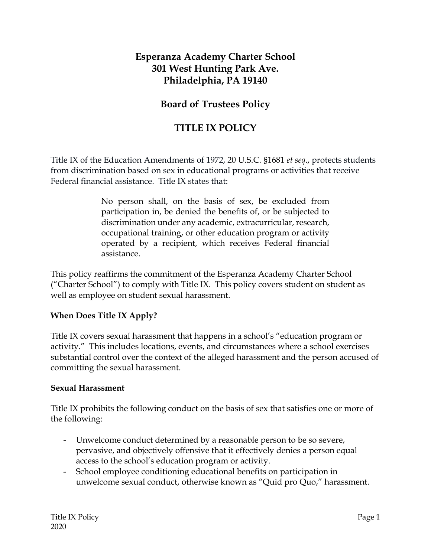## **Esperanza Academy Charter School 301 West Hunting Park Ave. Philadelphia, PA 19140**

## **Board of Trustees Policy**

## **TITLE IX POLICY**

Title IX of the Education Amendments of 1972, 20 U.S.C. §1681 *et seq*., protects students from discrimination based on sex in educational programs or activities that receive Federal financial assistance. Title IX states that:

> No person shall, on the basis of sex, be excluded from participation in, be denied the benefits of, or be subjected to discrimination under any academic, extracurricular, research, occupational training, or other education program or activity operated by a recipient, which receives Federal financial assistance.

This policy reaffirms the commitment of the Esperanza Academy Charter School ("Charter School") to comply with Title IX. This policy covers student on student as well as employee on student sexual harassment.

#### **When Does Title IX Apply?**

Title IX covers sexual harassment that happens in a school's "education program or activity." This includes locations, events, and circumstances where a school exercises substantial control over the context of the alleged harassment and the person accused of committing the sexual harassment.

#### **Sexual Harassment**

Title IX prohibits the following conduct on the basis of sex that satisfies one or more of the following:

- Unwelcome conduct determined by a reasonable person to be so severe, pervasive, and objectively offensive that it effectively denies a person equal access to the school's education program or activity.
- School employee conditioning educational benefits on participation in unwelcome sexual conduct, otherwise known as "Quid pro Quo," harassment.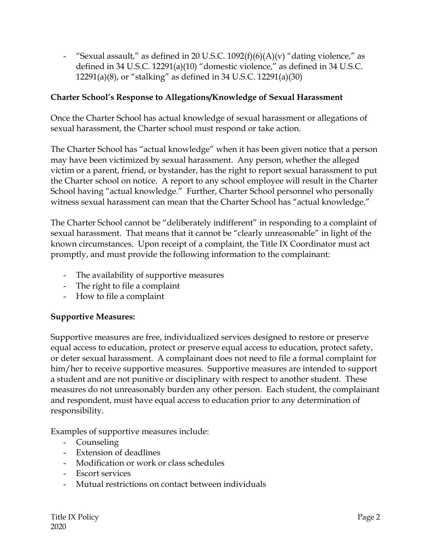- "Sexual assault," as defined in 20 U.S.C.  $1092(f)(6)(A)(v)$ " dating violence," as defined in 34 U.S.C. 12291(a)(10) "domestic violence," as defined in 34 U.S.C. 12291(a)(8), or "stalking" as defined in 34 U.S.C. 12291(a)(30)

#### **Charter School's Response to Allegations/Knowledge of Sexual Harassment**

Once the Charter School has actual knowledge of sexual harassment or allegations of sexual harassment, the Charter school must respond or take action.

The Charter School has "actual knowledge" when it has been given notice that a person may have been victimized by sexual harassment. Any person, whether the alleged victim or a parent, friend, or bystander, has the right to report sexual harassment to put the Charter school on notice. A report to any school employee will result in the Charter School having "actual knowledge." Further, Charter School personnel who personally witness sexual harassment can mean that the Charter School has "actual knowledge."

The Charter School cannot be "deliberately indifferent" in responding to a complaint of sexual harassment. That means that it cannot be "clearly unreasonable" in light of the known circumstances. Upon receipt of a complaint, the Title IX Coordinator must act promptly, and must provide the following information to the complainant:

- The availability of supportive measures
- The right to file a complaint
- How to file a complaint

#### **Supportive Measures:**

Supportive measures are free, individualized services designed to restore or preserve equal access to education, protect or preserve equal access to education, protect safety, or deter sexual harassment. A complainant does not need to file a formal complaint for him/her to receive supportive measures. Supportive measures are intended to support a student and are not punitive or disciplinary with respect to another student. These measures do not unreasonably burden any other person. Each student, the complainant and respondent, must have equal access to education prior to any determination of responsibility.

Examples of supportive measures include:

- Counseling
- Extension of deadlines
- Modification or work or class schedules
- Escort services
- Mutual restrictions on contact between individuals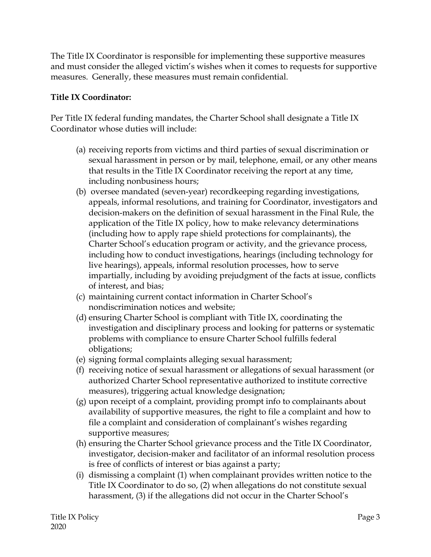The Title IX Coordinator is responsible for implementing these supportive measures and must consider the alleged victim's wishes when it comes to requests for supportive measures. Generally, these measures must remain confidential.

### **Title IX Coordinator:**

Per Title IX federal funding mandates, the Charter School shall designate a Title IX Coordinator whose duties will include:

- (a) receiving reports from victims and third parties of sexual discrimination or sexual harassment in person or by mail, telephone, email, or any other means that results in the Title IX Coordinator receiving the report at any time, including nonbusiness hours;
- (b) oversee mandated (seven-year) recordkeeping regarding investigations, appeals, informal resolutions, and training for Coordinator, investigators and decision-makers on the definition of sexual harassment in the Final Rule, the application of the Title IX policy, how to make relevancy determinations (including how to apply rape shield protections for complainants), the Charter School's education program or activity, and the grievance process, including how to conduct investigations, hearings (including technology for live hearings), appeals, informal resolution processes, how to serve impartially, including by avoiding prejudgment of the facts at issue, conflicts of interest, and bias;
- (c) maintaining current contact information in Charter School's nondiscrimination notices and website;
- (d) ensuring Charter School is compliant with Title IX, coordinating the investigation and disciplinary process and looking for patterns or systematic problems with compliance to ensure Charter School fulfills federal obligations;
- (e) signing formal complaints alleging sexual harassment;
- (f) receiving notice of sexual harassment or allegations of sexual harassment (or authorized Charter School representative authorized to institute corrective measures), triggering actual knowledge designation;
- (g) upon receipt of a complaint, providing prompt info to complainants about availability of supportive measures, the right to file a complaint and how to file a complaint and consideration of complainant's wishes regarding supportive measures;
- (h) ensuring the Charter School grievance process and the Title IX Coordinator, investigator, decision-maker and facilitator of an informal resolution process is free of conflicts of interest or bias against a party;
- (i) dismissing a complaint (1) when complainant provides written notice to the Title IX Coordinator to do so, (2) when allegations do not constitute sexual harassment, (3) if the allegations did not occur in the Charter School's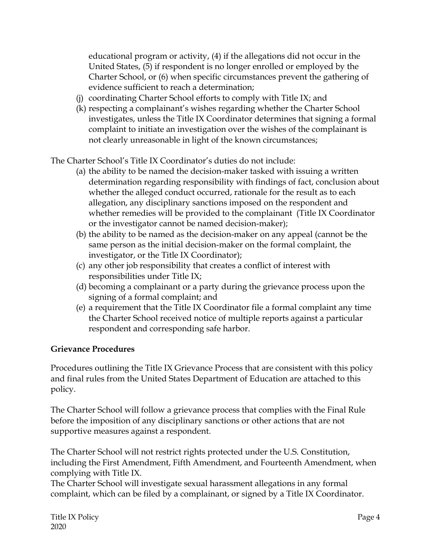educational program or activity, (4) if the allegations did not occur in the United States, (5) if respondent is no longer enrolled or employed by the Charter School, or (6) when specific circumstances prevent the gathering of evidence sufficient to reach a determination;

- (j) coordinating Charter School efforts to comply with Title IX; and
- (k) respecting a complainant's wishes regarding whether the Charter School investigates, unless the Title IX Coordinator determines that signing a formal complaint to initiate an investigation over the wishes of the complainant is not clearly unreasonable in light of the known circumstances;

The Charter School's Title IX Coordinator's duties do not include:

- (a) the ability to be named the decision-maker tasked with issuing a written determination regarding responsibility with findings of fact, conclusion about whether the alleged conduct occurred, rationale for the result as to each allegation, any disciplinary sanctions imposed on the respondent and whether remedies will be provided to the complainant (Title IX Coordinator or the investigator cannot be named decision-maker);
- (b) the ability to be named as the decision-maker on any appeal (cannot be the same person as the initial decision-maker on the formal complaint, the investigator, or the Title IX Coordinator);
- (c) any other job responsibility that creates a conflict of interest with responsibilities under Title IX;
- (d) becoming a complainant or a party during the grievance process upon the signing of a formal complaint; and
- (e) a requirement that the Title IX Coordinator file a formal complaint any time the Charter School received notice of multiple reports against a particular respondent and corresponding safe harbor.

#### **Grievance Procedures**

Procedures outlining the Title IX Grievance Process that are consistent with this policy and final rules from the United States Department of Education are attached to this policy.

The Charter School will follow a grievance process that complies with the Final Rule before the imposition of any disciplinary sanctions or other actions that are not supportive measures against a respondent.

The Charter School will not restrict rights protected under the U.S. Constitution, including the First Amendment, Fifth Amendment, and Fourteenth Amendment, when complying with Title IX.

The Charter School will investigate sexual harassment allegations in any formal complaint, which can be filed by a complainant, or signed by a Title IX Coordinator.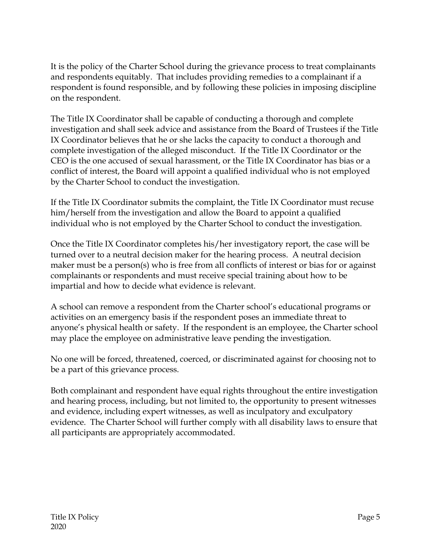It is the policy of the Charter School during the grievance process to treat complainants and respondents equitably. That includes providing remedies to a complainant if a respondent is found responsible, and by following these policies in imposing discipline on the respondent.

The Title IX Coordinator shall be capable of conducting a thorough and complete investigation and shall seek advice and assistance from the Board of Trustees if the Title IX Coordinator believes that he or she lacks the capacity to conduct a thorough and complete investigation of the alleged misconduct. If the Title IX Coordinator or the CEO is the one accused of sexual harassment, or the Title IX Coordinator has bias or a conflict of interest, the Board will appoint a qualified individual who is not employed by the Charter School to conduct the investigation.

If the Title IX Coordinator submits the complaint, the Title IX Coordinator must recuse him/herself from the investigation and allow the Board to appoint a qualified individual who is not employed by the Charter School to conduct the investigation.

Once the Title IX Coordinator completes his/her investigatory report, the case will be turned over to a neutral decision maker for the hearing process. A neutral decision maker must be a person(s) who is free from all conflicts of interest or bias for or against complainants or respondents and must receive special training about how to be impartial and how to decide what evidence is relevant.

A school can remove a respondent from the Charter school's educational programs or activities on an emergency basis if the respondent poses an immediate threat to anyone's physical health or safety. If the respondent is an employee, the Charter school may place the employee on administrative leave pending the investigation.

No one will be forced, threatened, coerced, or discriminated against for choosing not to be a part of this grievance process.

Both complainant and respondent have equal rights throughout the entire investigation and hearing process, including, but not limited to, the opportunity to present witnesses and evidence, including expert witnesses, as well as inculpatory and exculpatory evidence. The Charter School will further comply with all disability laws to ensure that all participants are appropriately accommodated.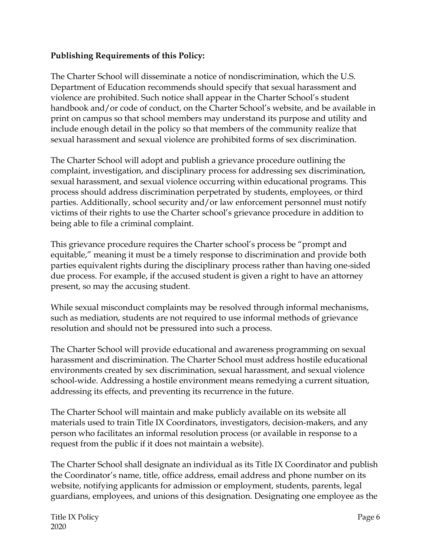#### **Publishing Requirements of this Policy:**

The Charter School will disseminate a notice of nondiscrimination, which the U.S. Department of Education recommends should specify that sexual harassment and violence are prohibited. Such notice shall appear in the Charter School's student handbook and/or code of conduct, on the Charter School's website, and be available in print on campus so that school members may understand its purpose and utility and include enough detail in the policy so that members of the community realize that sexual harassment and sexual violence are prohibited forms of sex discrimination.

The Charter School will adopt and publish a grievance procedure outlining the complaint, investigation, and disciplinary process for addressing sex discrimination, sexual harassment, and sexual violence occurring within educational programs. This process should address discrimination perpetrated by students, employees, or third parties. Additionally, school security and/or law enforcement personnel must notify victims of their rights to use the Charter school's grievance procedure in addition to being able to file a criminal complaint.

This grievance procedure requires the Charter school's process be "prompt and equitable," meaning it must be a timely response to discrimination and provide both parties equivalent rights during the disciplinary process rather than having one-sided due process. For example, if the accused student is given a right to have an attorney present, so may the accusing student.

While sexual misconduct complaints may be resolved through informal mechanisms, such as mediation, students are not required to use informal methods of grievance resolution and should not be pressured into such a process.

The Charter School will provide educational and awareness programming on sexual harassment and discrimination. The Charter School must address hostile educational environments created by sex discrimination, sexual harassment, and sexual violence school-wide. Addressing a hostile environment means remedying a current situation, addressing its effects, and preventing its recurrence in the future.

The Charter School will maintain and make publicly available on its website all materials used to train Title IX Coordinators, investigators, decision-makers, and any person who facilitates an informal resolution process (or available in response to a request from the public if it does not maintain a website).

The Charter School shall designate an individual as its Title IX Coordinator and publish the Coordinator's name, title, office address, email address and phone number on its website, notifying applicants for admission or employment, students, parents, legal guardians, employees, and unions of this designation. Designating one employee as the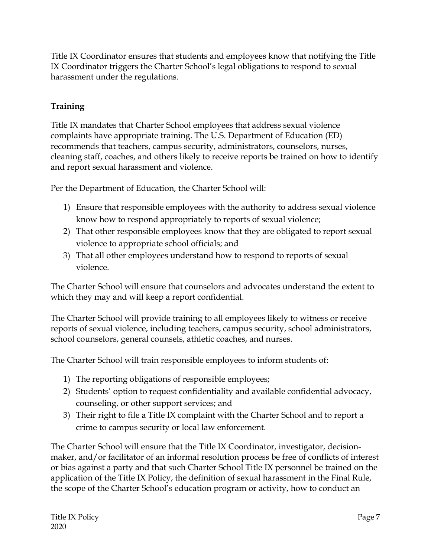Title IX Coordinator ensures that students and employees know that notifying the Title IX Coordinator triggers the Charter School's legal obligations to respond to sexual harassment under the regulations.

## **Training**

Title IX mandates that Charter School employees that address sexual violence complaints have appropriate training. The U.S. Department of Education (ED) recommends that teachers, campus security, administrators, counselors, nurses, cleaning staff, coaches, and others likely to receive reports be trained on how to identify and report sexual harassment and violence.

Per the Department of Education, the Charter School will:

- 1) Ensure that responsible employees with the authority to address sexual violence know how to respond appropriately to reports of sexual violence;
- 2) That other responsible employees know that they are obligated to report sexual violence to appropriate school officials; and
- 3) That all other employees understand how to respond to reports of sexual violence.

The Charter School will ensure that counselors and advocates understand the extent to which they may and will keep a report confidential.

The Charter School will provide training to all employees likely to witness or receive reports of sexual violence, including teachers, campus security, school administrators, school counselors, general counsels, athletic coaches, and nurses.

The Charter School will train responsible employees to inform students of:

- 1) The reporting obligations of responsible employees;
- 2) Students' option to request confidentiality and available confidential advocacy, counseling, or other support services; and
- 3) Their right to file a Title IX complaint with the Charter School and to report a crime to campus security or local law enforcement.

The Charter School will ensure that the Title IX Coordinator, investigator, decisionmaker, and/or facilitator of an informal resolution process be free of conflicts of interest or bias against a party and that such Charter School Title IX personnel be trained on the application of the Title IX Policy, the definition of sexual harassment in the Final Rule, the scope of the Charter School's education program or activity, how to conduct an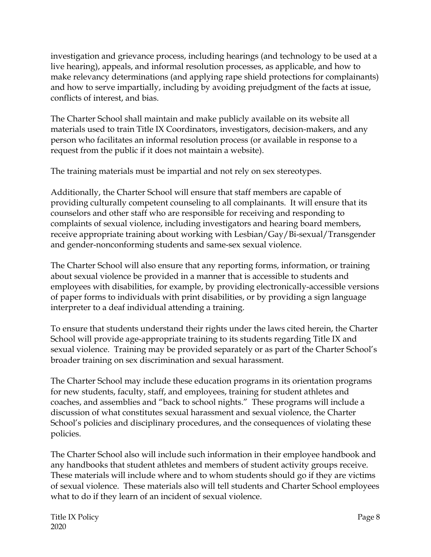investigation and grievance process, including hearings (and technology to be used at a live hearing), appeals, and informal resolution processes, as applicable, and how to make relevancy determinations (and applying rape shield protections for complainants) and how to serve impartially, including by avoiding prejudgment of the facts at issue, conflicts of interest, and bias.

The Charter School shall maintain and make publicly available on its website all materials used to train Title IX Coordinators, investigators, decision-makers, and any person who facilitates an informal resolution process (or available in response to a request from the public if it does not maintain a website).

The training materials must be impartial and not rely on sex stereotypes.

Additionally, the Charter School will ensure that staff members are capable of providing culturally competent counseling to all complainants. It will ensure that its counselors and other staff who are responsible for receiving and responding to complaints of sexual violence, including investigators and hearing board members, receive appropriate training about working with Lesbian/Gay/Bi-sexual/Transgender and gender-nonconforming students and same-sex sexual violence.

The Charter School will also ensure that any reporting forms, information, or training about sexual violence be provided in a manner that is accessible to students and employees with disabilities, for example, by providing electronically-accessible versions of paper forms to individuals with print disabilities, or by providing a sign language interpreter to a deaf individual attending a training.

To ensure that students understand their rights under the laws cited herein, the Charter School will provide age-appropriate training to its students regarding Title IX and sexual violence. Training may be provided separately or as part of the Charter School's broader training on sex discrimination and sexual harassment.

The Charter School may include these education programs in its orientation programs for new students, faculty, staff, and employees, training for student athletes and coaches, and assemblies and "back to school nights." These programs will include a discussion of what constitutes sexual harassment and sexual violence, the Charter School's policies and disciplinary procedures, and the consequences of violating these policies.

The Charter School also will include such information in their employee handbook and any handbooks that student athletes and members of student activity groups receive. These materials will include where and to whom students should go if they are victims of sexual violence. These materials also will tell students and Charter School employees what to do if they learn of an incident of sexual violence.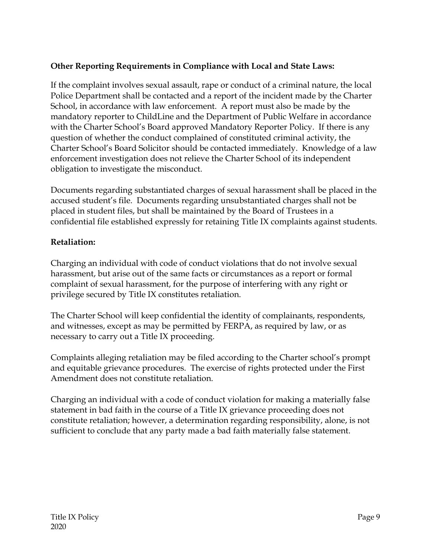### **Other Reporting Requirements in Compliance with Local and State Laws:**

If the complaint involves sexual assault, rape or conduct of a criminal nature, the local Police Department shall be contacted and a report of the incident made by the Charter School, in accordance with law enforcement. A report must also be made by the mandatory reporter to ChildLine and the Department of Public Welfare in accordance with the Charter School's Board approved Mandatory Reporter Policy. If there is any question of whether the conduct complained of constituted criminal activity, the Charter School's Board Solicitor should be contacted immediately. Knowledge of a law enforcement investigation does not relieve the Charter School of its independent obligation to investigate the misconduct.

Documents regarding substantiated charges of sexual harassment shall be placed in the accused student's file. Documents regarding unsubstantiated charges shall not be placed in student files, but shall be maintained by the Board of Trustees in a confidential file established expressly for retaining Title IX complaints against students.

#### **Retaliation:**

Charging an individual with code of conduct violations that do not involve sexual harassment, but arise out of the same facts or circumstances as a report or formal complaint of sexual harassment, for the purpose of interfering with any right or privilege secured by Title IX constitutes retaliation.

The Charter School will keep confidential the identity of complainants, respondents, and witnesses, except as may be permitted by FERPA, as required by law, or as necessary to carry out a Title IX proceeding.

Complaints alleging retaliation may be filed according to the Charter school's prompt and equitable grievance procedures. The exercise of rights protected under the First Amendment does not constitute retaliation.

Charging an individual with a code of conduct violation for making a materially false statement in bad faith in the course of a Title IX grievance proceeding does not constitute retaliation; however, a determination regarding responsibility, alone, is not sufficient to conclude that any party made a bad faith materially false statement.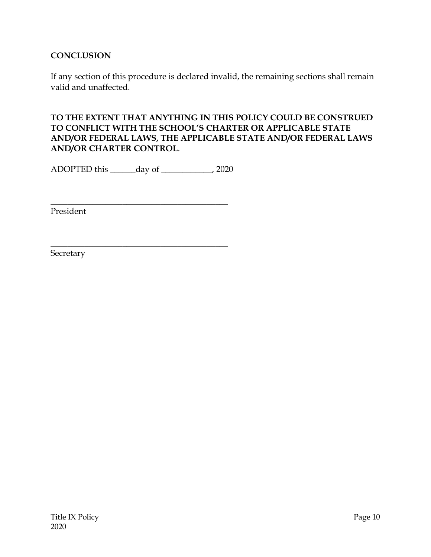#### **CONCLUSION**

If any section of this procedure is declared invalid, the remaining sections shall remain valid and unaffected.

#### **TO THE EXTENT THAT ANYTHING IN THIS POLICY COULD BE CONSTRUED TO CONFLICT WITH THE SCHOOL'S CHARTER OR APPLICABLE STATE AND/OR FEDERAL LAWS, THE APPLICABLE STATE AND/OR FEDERAL LAWS AND/OR CHARTER CONTROL**.

ADOPTED this \_\_\_\_\_\_day of \_\_\_\_\_\_\_\_\_\_\_\_, 2020

\_\_\_\_\_\_\_\_\_\_\_\_\_\_\_\_\_\_\_\_\_\_\_\_\_\_\_\_\_\_\_\_\_\_\_\_\_\_\_\_\_\_

 $\frac{1}{2}$  , and the set of the set of the set of the set of the set of the set of the set of the set of the set of the set of the set of the set of the set of the set of the set of the set of the set of the set of the set

President

Secretary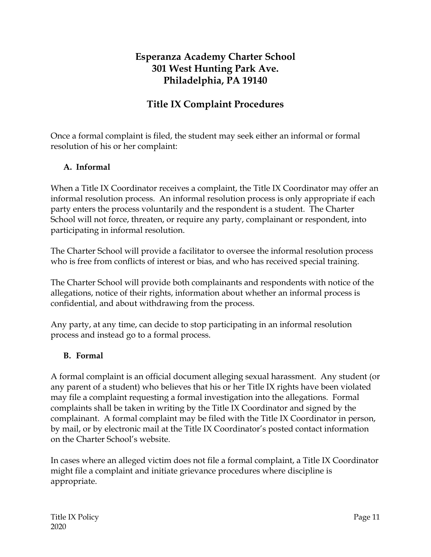# **Esperanza Academy Charter School 301 West Hunting Park Ave. Philadelphia, PA 19140**

# **Title IX Complaint Procedures**

Once a formal complaint is filed, the student may seek either an informal or formal resolution of his or her complaint:

#### **A. Informal**

When a Title IX Coordinator receives a complaint, the Title IX Coordinator may offer an informal resolution process. An informal resolution process is only appropriate if each party enters the process voluntarily and the respondent is a student. The Charter School will not force, threaten, or require any party, complainant or respondent, into participating in informal resolution.

The Charter School will provide a facilitator to oversee the informal resolution process who is free from conflicts of interest or bias, and who has received special training.

The Charter School will provide both complainants and respondents with notice of the allegations, notice of their rights, information about whether an informal process is confidential, and about withdrawing from the process.

Any party, at any time, can decide to stop participating in an informal resolution process and instead go to a formal process.

#### **B. Formal**

A formal complaint is an official document alleging sexual harassment. Any student (or any parent of a student) who believes that his or her Title IX rights have been violated may file a complaint requesting a formal investigation into the allegations. Formal complaints shall be taken in writing by the Title IX Coordinator and signed by the complainant. A formal complaint may be filed with the Title IX Coordinator in person, by mail, or by electronic mail at the Title IX Coordinator's posted contact information on the Charter School's website.

In cases where an alleged victim does not file a formal complaint, a Title IX Coordinator might file a complaint and initiate grievance procedures where discipline is appropriate.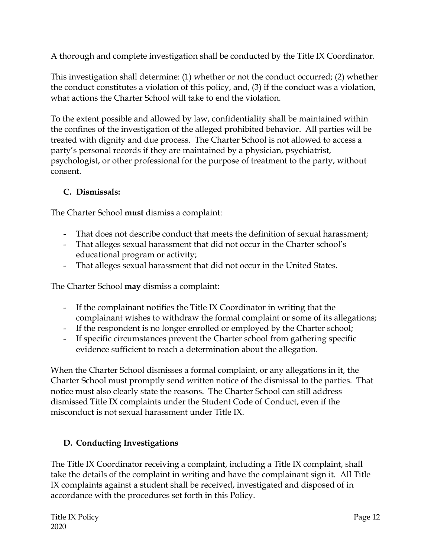A thorough and complete investigation shall be conducted by the Title IX Coordinator.

This investigation shall determine: (1) whether or not the conduct occurred; (2) whether the conduct constitutes a violation of this policy, and, (3) if the conduct was a violation, what actions the Charter School will take to end the violation.

To the extent possible and allowed by law, confidentiality shall be maintained within the confines of the investigation of the alleged prohibited behavior. All parties will be treated with dignity and due process. The Charter School is not allowed to access a party's personal records if they are maintained by a physician, psychiatrist, psychologist, or other professional for the purpose of treatment to the party, without consent.

### **C. Dismissals:**

The Charter School **must** dismiss a complaint:

- That does not describe conduct that meets the definition of sexual harassment;
- That alleges sexual harassment that did not occur in the Charter school's educational program or activity;
- That alleges sexual harassment that did not occur in the United States.

The Charter School **may** dismiss a complaint:

- If the complainant notifies the Title IX Coordinator in writing that the complainant wishes to withdraw the formal complaint or some of its allegations;
- If the respondent is no longer enrolled or employed by the Charter school;
- If specific circumstances prevent the Charter school from gathering specific evidence sufficient to reach a determination about the allegation.

When the Charter School dismisses a formal complaint, or any allegations in it, the Charter School must promptly send written notice of the dismissal to the parties. That notice must also clearly state the reasons. The Charter School can still address dismissed Title IX complaints under the Student Code of Conduct, even if the misconduct is not sexual harassment under Title IX.

### **D. Conducting Investigations**

The Title IX Coordinator receiving a complaint, including a Title IX complaint, shall take the details of the complaint in writing and have the complainant sign it. All Title IX complaints against a student shall be received, investigated and disposed of in accordance with the procedures set forth in this Policy.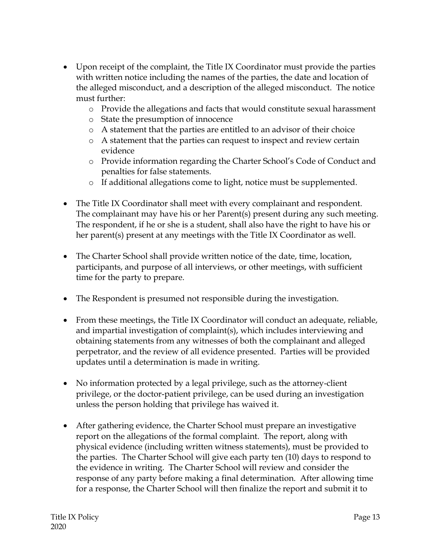- Upon receipt of the complaint, the Title IX Coordinator must provide the parties with written notice including the names of the parties, the date and location of the alleged misconduct, and a description of the alleged misconduct. The notice must further:
	- o Provide the allegations and facts that would constitute sexual harassment
	- o State the presumption of innocence
	- o A statement that the parties are entitled to an advisor of their choice
	- o A statement that the parties can request to inspect and review certain evidence
	- o Provide information regarding the Charter School's Code of Conduct and penalties for false statements.
	- o If additional allegations come to light, notice must be supplemented.
- The Title IX Coordinator shall meet with every complainant and respondent. The complainant may have his or her Parent(s) present during any such meeting. The respondent, if he or she is a student, shall also have the right to have his or her parent(s) present at any meetings with the Title IX Coordinator as well.
- The Charter School shall provide written notice of the date, time, location, participants, and purpose of all interviews, or other meetings, with sufficient time for the party to prepare.
- The Respondent is presumed not responsible during the investigation.
- From these meetings, the Title IX Coordinator will conduct an adequate, reliable, and impartial investigation of complaint(s), which includes interviewing and obtaining statements from any witnesses of both the complainant and alleged perpetrator, and the review of all evidence presented. Parties will be provided updates until a determination is made in writing.
- No information protected by a legal privilege, such as the attorney-client privilege, or the doctor-patient privilege, can be used during an investigation unless the person holding that privilege has waived it.
- After gathering evidence, the Charter School must prepare an investigative report on the allegations of the formal complaint. The report, along with physical evidence (including written witness statements), must be provided to the parties. The Charter School will give each party ten (10) days to respond to the evidence in writing. The Charter School will review and consider the response of any party before making a final determination. After allowing time for a response, the Charter School will then finalize the report and submit it to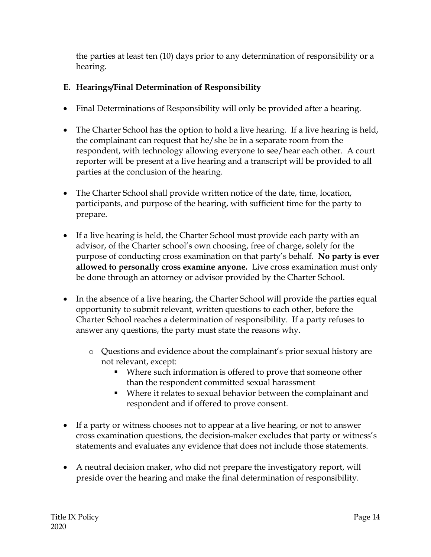the parties at least ten (10) days prior to any determination of responsibility or a hearing.

### **E. Hearings/Final Determination of Responsibility**

- Final Determinations of Responsibility will only be provided after a hearing.
- The Charter School has the option to hold a live hearing. If a live hearing is held, the complainant can request that he/she be in a separate room from the respondent, with technology allowing everyone to see/hear each other. A court reporter will be present at a live hearing and a transcript will be provided to all parties at the conclusion of the hearing.
- The Charter School shall provide written notice of the date, time, location, participants, and purpose of the hearing, with sufficient time for the party to prepare.
- If a live hearing is held, the Charter School must provide each party with an advisor, of the Charter school's own choosing, free of charge, solely for the purpose of conducting cross examination on that party's behalf. **No party is ever allowed to personally cross examine anyone.** Live cross examination must only be done through an attorney or advisor provided by the Charter School.
- In the absence of a live hearing, the Charter School will provide the parties equal opportunity to submit relevant, written questions to each other, before the Charter School reaches a determination of responsibility. If a party refuses to answer any questions, the party must state the reasons why.
	- o Questions and evidence about the complainant's prior sexual history are not relevant, except:
		- Where such information is offered to prove that someone other than the respondent committed sexual harassment
		- Where it relates to sexual behavior between the complainant and respondent and if offered to prove consent.
- If a party or witness chooses not to appear at a live hearing, or not to answer cross examination questions, the decision-maker excludes that party or witness's statements and evaluates any evidence that does not include those statements.
- A neutral decision maker, who did not prepare the investigatory report, will preside over the hearing and make the final determination of responsibility.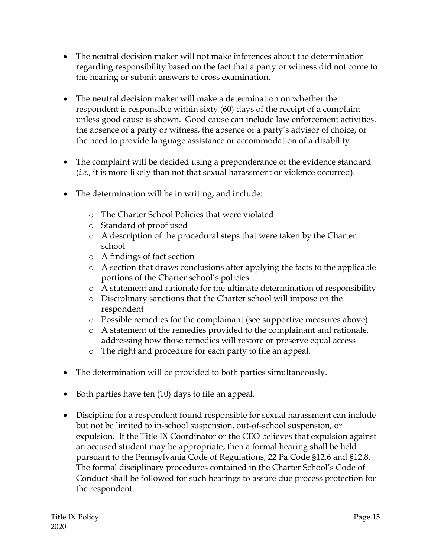- The neutral decision maker will not make inferences about the determination regarding responsibility based on the fact that a party or witness did not come to the hearing or submit answers to cross examination.
- The neutral decision maker will make a determination on whether the respondent is responsible within sixty (60) days of the receipt of a complaint unless good cause is shown. Good cause can include law enforcement activities, the absence of a party or witness, the absence of a party's advisor of choice, or the need to provide language assistance or accommodation of a disability.
- The complaint will be decided using a preponderance of the evidence standard (*i.e*., it is more likely than not that sexual harassment or violence occurred).
- The determination will be in writing, and include:
	- o The Charter School Policies that were violated
	- o Standard of proof used
	- o A description of the procedural steps that were taken by the Charter school
	- o A findings of fact section
	- o A section that draws conclusions after applying the facts to the applicable portions of the Charter school's policies
	- o A statement and rationale for the ultimate determination of responsibility
	- o Disciplinary sanctions that the Charter school will impose on the respondent
	- o Possible remedies for the complainant (see supportive measures above)
	- o A statement of the remedies provided to the complainant and rationale, addressing how those remedies will restore or preserve equal access
	- o The right and procedure for each party to file an appeal.
- The determination will be provided to both parties simultaneously.
- Both parties have ten (10) days to file an appeal.
- Discipline for a respondent found responsible for sexual harassment can include but not be limited to in-school suspension, out-of-school suspension, or expulsion. If the Title IX Coordinator or the CEO believes that expulsion against an accused student may be appropriate, then a formal hearing shall be held pursuant to the Pennsylvania Code of Regulations, 22 Pa.Code §12.6 and §12.8. The formal disciplinary procedures contained in the Charter School's Code of Conduct shall be followed for such hearings to assure due process protection for the respondent.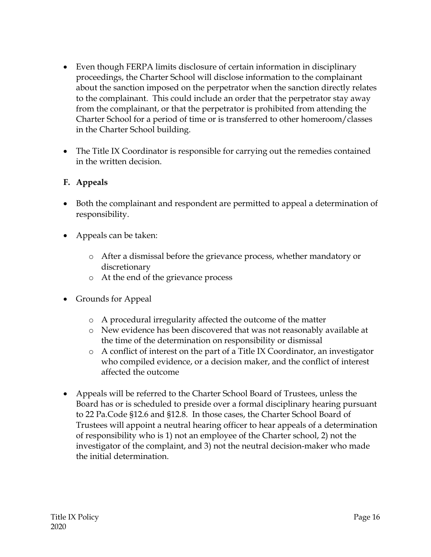- Even though FERPA limits disclosure of certain information in disciplinary proceedings, the Charter School will disclose information to the complainant about the sanction imposed on the perpetrator when the sanction directly relates to the complainant. This could include an order that the perpetrator stay away from the complainant, or that the perpetrator is prohibited from attending the Charter School for a period of time or is transferred to other homeroom/classes in the Charter School building.
- The Title IX Coordinator is responsible for carrying out the remedies contained in the written decision.

### **F. Appeals**

- Both the complainant and respondent are permitted to appeal a determination of responsibility.
- Appeals can be taken:
	- o After a dismissal before the grievance process, whether mandatory or discretionary
	- o At the end of the grievance process
- Grounds for Appeal
	- o A procedural irregularity affected the outcome of the matter
	- o New evidence has been discovered that was not reasonably available at the time of the determination on responsibility or dismissal
	- o A conflict of interest on the part of a Title IX Coordinator, an investigator who compiled evidence, or a decision maker, and the conflict of interest affected the outcome
- Appeals will be referred to the Charter School Board of Trustees, unless the Board has or is scheduled to preside over a formal disciplinary hearing pursuant to 22 Pa.Code §12.6 and §12.8. In those cases, the Charter School Board of Trustees will appoint a neutral hearing officer to hear appeals of a determination of responsibility who is 1) not an employee of the Charter school, 2) not the investigator of the complaint, and 3) not the neutral decision-maker who made the initial determination.